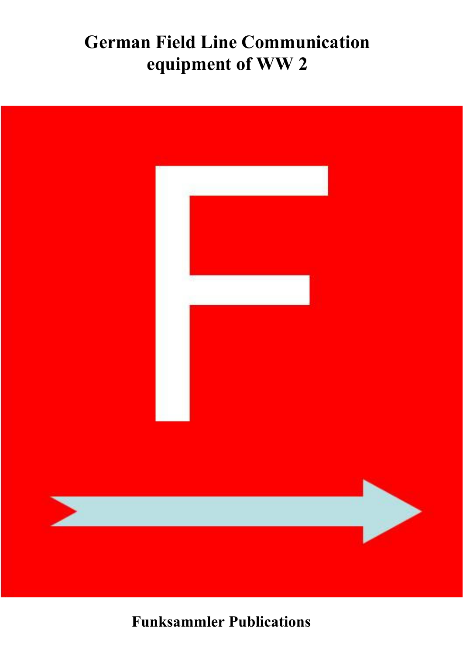# **German Field Line Communication equipment of WW 2**



**Funksammler Publications**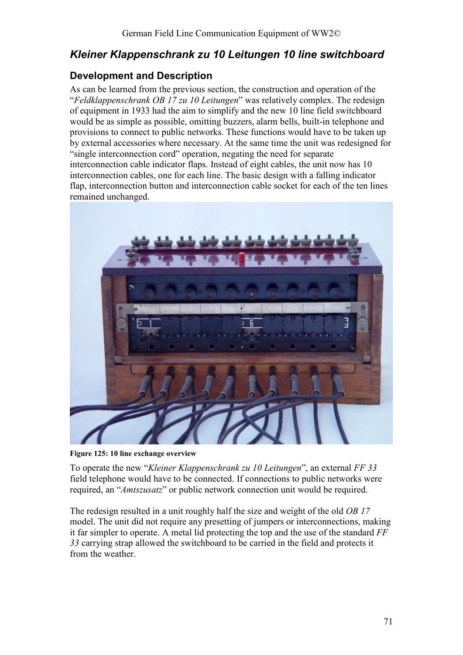## *Kleiner Klappenschrank zu 10 Leitungen 10 line switchboard*

### **Development and Description**

As can be learned from the previous section, the construction and operation of the "*Feldklappenschrank OB 17 zu 10 Leitungen*" was relatively complex. The redesign of equipment in 1933 had the aim to simplify and the new 10 line field switchboard would be as simple as possible, omitting buzzers, alarm bells, built-in telephone and provisions to connect to public networks. These functions would have to be taken up by external accessories where necessary. At the same time the unit was redesigned for "single interconnection cord" operation, negating the need for separate interconnection cable indicator flaps. Instead of eight cables, the unit now has 10 interconnection cables, one for each line. The basic design with a falling indicator flap, interconnection button and interconnection cable socket for each of the ten lines remained unchanged.



**Figure 125: 10 line exchange overview** 

To operate the new "*Kleiner Klappenschrank zu 10 Leitungen*", an external *FF 33* field telephone would have to be connected. If connections to public networks were required, an "*Amtszusatz*" or public network connection unit would be required.

The redesign resulted in a unit roughly half the size and weight of the old *OB 17* model. The unit did not require any presetting of jumpers or interconnections, making it far simpler to operate. A metal lid protecting the top and the use of the standard *FF 33* carrying strap allowed the switchboard to be carried in the field and protects it from the weather.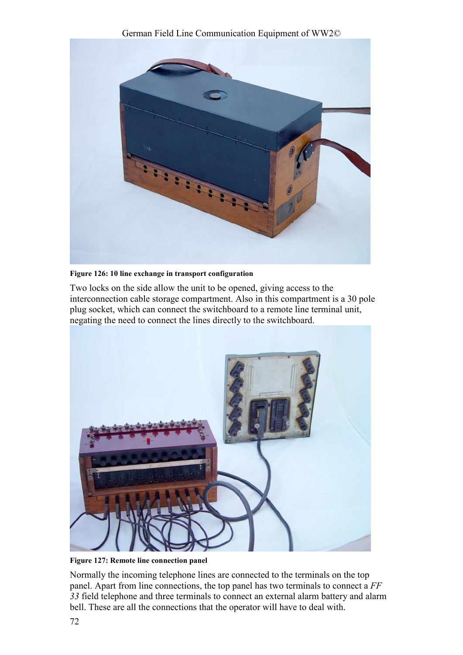



**Figure 126: 10 line exchange in transport configuration** 

Two locks on the side allow the unit to be opened, giving access to the interconnection cable storage compartment. Also in this compartment is a 30 pole plug socket, which can connect the switchboard to a remote line terminal unit, negating the need to connect the lines directly to the switchboard.



**Figure 127: Remote line connection panel** 

Normally the incoming telephone lines are connected to the terminals on the top panel. Apart from line connections, the top panel has two terminals to connect a *FF 33* field telephone and three terminals to connect an external alarm battery and alarm bell. These are all the connections that the operator will have to deal with.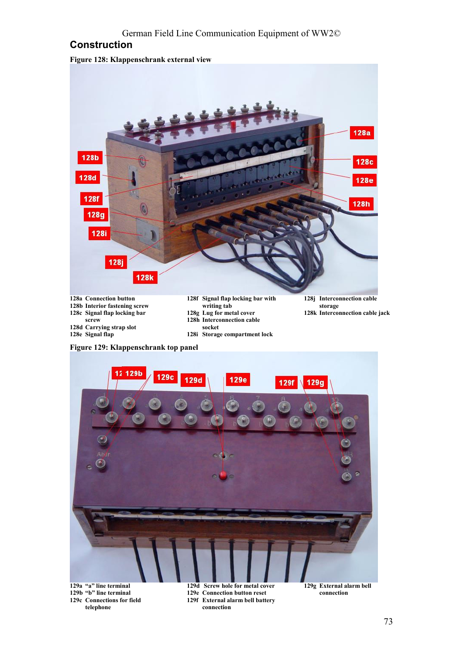#### German Field Line Communication Equipment of WW2©

#### **Construction**

**Figure 128: Klappenschrank external view** 



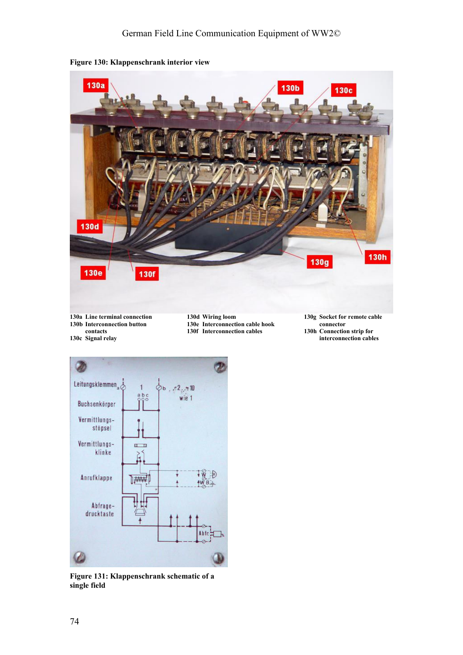

**Figure 130: Klappenschrank interior view** 



**Figure 131: Klappenschrank schematic of a single field**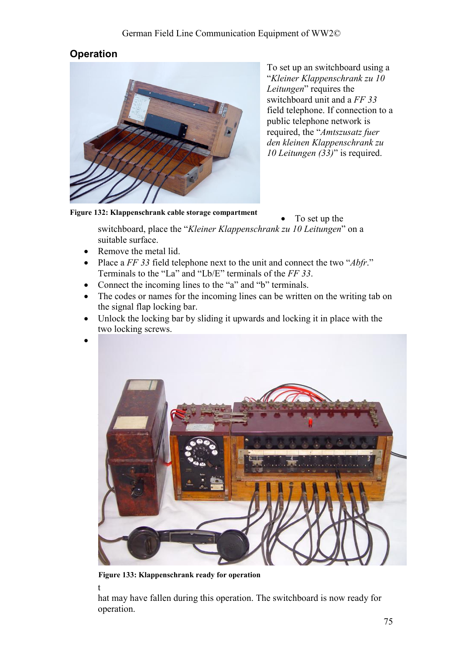## **Operation**



To set up an switchboard using a "*Kleiner Klappenschrank zu 10 Leitungen*" requires the switchboard unit and a *FF 33* field telephone. If connection to a public telephone network is required, the "*Amtszusatz fuer den kleinen Klappenschrank zu 10 Leitungen (33)*" is required.

**Figure 132: Klappenschrank cable storage compartment**

• To set up the

switchboard, place the "*Kleiner Klappenschrank zu 10 Leitungen*" on a suitable surface.

- Remove the metal lid.
- Place a *FF 33* field telephone next to the unit and connect the two "*Abfr*." Terminals to the "La" and "Lb/E" terminals of the *FF 33*.
- Connect the incoming lines to the "a" and "b" terminals.
- The codes or names for the incoming lines can be written on the writing tab on the signal flap locking bar.
- Unlock the locking bar by sliding it upwards and locking it in place with the two locking screws.



t



**Figure 133: Klappenschrank ready for operation** 

hat may have fallen during this operation. The switchboard is now ready for operation.